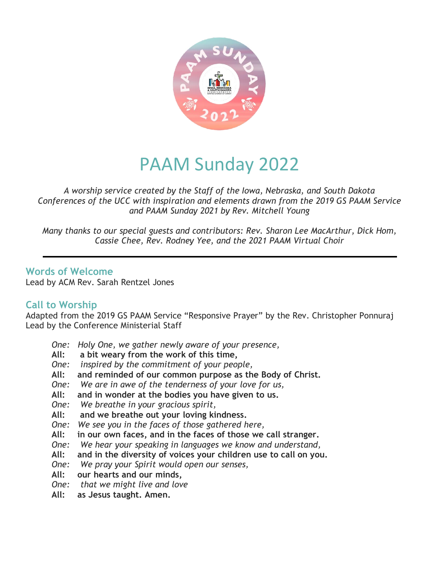

# PAAM Sunday 2022

*A worship service created by the Staff of the Iowa, Nebraska, and South Dakota Conferences of the UCC with inspiration and elements drawn from the 2019 GS PAAM Service and PAAM Sunday 2021 by Rev. Mitchell Young*

*Many thanks to our special guests and contributors: Rev. Sharon Lee MacArthur, Dick Hom, Cassie Chee, Rev. Rodney Yee, and the 2021 PAAM Virtual Choir*

**Words of Welcome** Lead by ACM Rev. Sarah Rentzel Jones

## **Call to Worship**

Adapted from the 2019 GS PAAM Service "Responsive Prayer" by the Rev. Christopher Ponnuraj Lead by the Conference Ministerial Staff

- *One: Holy One, we gather newly aware of your presence,*
- **All: a bit weary from the work of this time,**
- *One: inspired by the commitment of your people,*
- **All: and reminded of our common purpose as the Body of Christ.**
- *One: We are in awe of the tenderness of your love for us,*
- **All: and in wonder at the bodies you have given to us.**
- *One: We breathe in your gracious spirit,*
- **All: and we breathe out your loving kindness.**
- *One: We see you in the faces of those gathered here,*
- **All: in our own faces, and in the faces of those we call stranger.**
- *One: We hear your speaking in languages we know and understand,*
- **All: and in the diversity of voices your children use to call on you.**
- *One: We pray your Spirit would open our senses,*
- **All: our hearts and our minds,**
- *One: that we might live and love*
- **All: as Jesus taught. Amen.**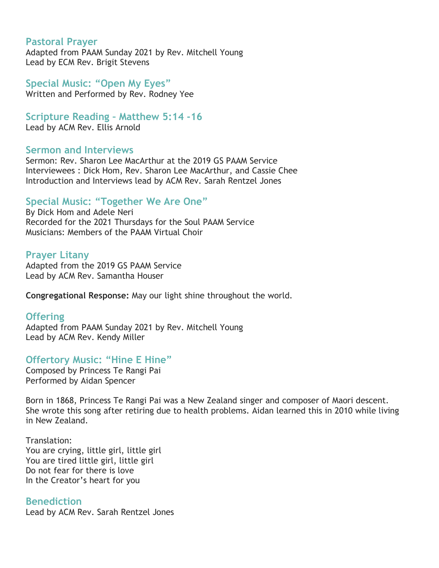#### **Pastoral Prayer**

Adapted from PAAM Sunday 2021 by Rev. Mitchell Young Lead by ECM Rev. Brigit Stevens

**Special Music: "Open My Eyes"** Written and Performed by Rev. Rodney Yee

**Scripture Reading – Matthew 5:14 -16** Lead by ACM Rev. Ellis Arnold

#### **Sermon and Interviews**

Sermon: Rev. Sharon Lee MacArthur at the 2019 GS PAAM Service Interviewees : Dick Hom, Rev. Sharon Lee MacArthur, and Cassie Chee Introduction and Interviews lead by ACM Rev. Sarah Rentzel Jones

#### **Special Music: "Together We Are One"**

By Dick Hom and Adele Neri Recorded for the 2021 Thursdays for the Soul PAAM Service Musicians: Members of the PAAM Virtual Choir

#### **Prayer Litany**

Adapted from the 2019 GS PAAM Service Lead by ACM Rev. Samantha Houser

**Congregational Response:** May our light shine throughout the world.

#### **Offering**

Adapted from PAAM Sunday 2021 by Rev. Mitchell Young Lead by ACM Rev. Kendy Miller

## **Offertory Music: "Hine E Hine"**

Composed by Princess Te Rangi Pai Performed by Aidan Spencer

Born in 1868, Princess Te Rangi Pai was a New Zealand singer and composer of Maori descent. She wrote this song after retiring due to health problems. Aidan learned this in 2010 while living in New Zealand.

Translation: You are crying, little girl, little girl You are tired little girl, little girl Do not fear for there is love In the Creator's heart for you

## **Benediction**

Lead by ACM Rev. Sarah Rentzel Jones